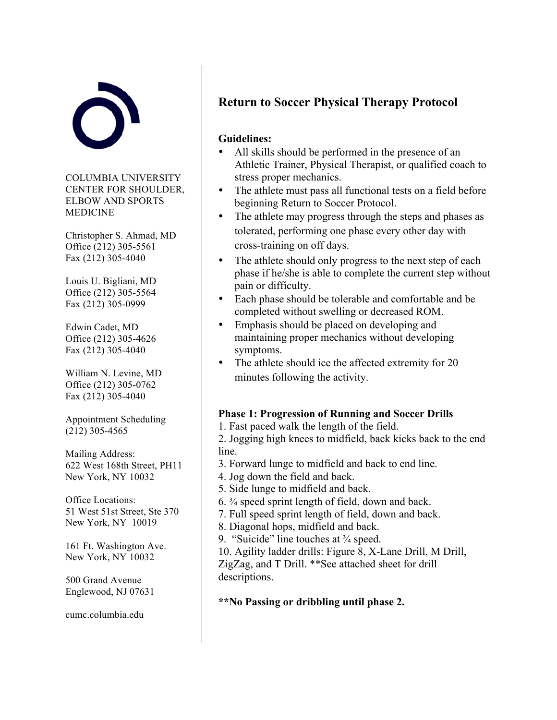

COLUMBIA UNIVERSITY CENTER FOR SHOULDER, ELBOW AND SPORTS **MEDICINE** 

Christopher S. Ahmad, MD Office (212) 305-5561 Fax (212) 305-4040

Louis U. Bigliani, MD Office (212) 305-5564 Fax (212) 305-0999

Edwin Cadet, MD Office (212) 305-4626 Fax (212) 305-4040

William N. Levine, MD Office (212) 305-0762 Fax (212) 305-4040

Appointment Scheduling (212) 305-4565

Mailing Address: 622 West 168th Street, PH11 New York, NY 10032

Office Locations: 51 West 51st Street, Ste 370 New York, NY 10019

161 Ft. Washington Ave. New York, NY 10032

500 Grand Avenue Englewood, NJ 07631

cumc.columbia.edu

### **Return to Soccer Physical Therapy Protocol**

#### **Guidelines:**

- All skills should be performed in the presence of an Athletic Trainer, Physical Therapist, or qualified coach to stress proper mechanics.
- The athlete must pass all functional tests on a field before beginning Return to Soccer Protocol.
- The athlete may progress through the steps and phases as tolerated, performing one phase every other day with cross-training on off days.
- The athlete should only progress to the next step of each phase if he/she is able to complete the current step without pain or difficulty.
- Each phase should be tolerable and comfortable and be completed without swelling or decreased ROM.
- Emphasis should be placed on developing and maintaining proper mechanics without developing symptoms.
- The athlete should ice the affected extremity for 20 minutes following the activity.

#### **Phase 1: Progression of Running and Soccer Drills**

1. Fast paced walk the length of the field.

2. Jogging high knees to midfield, back kicks back to the end line.

- 3. Forward lunge to midfield and back to end line.
- 4. Jog down the field and back.
- 5. Side lunge to midfield and back.
- 6. ¾ speed sprint length of field, down and back.
- 7. Full speed sprint length of field, down and back.
- 8. Diagonal hops, midfield and back.
- 9. "Suicide" line touches at ¾ speed.

10. Agility ladder drills: Figure 8, X-Lane Drill, M Drill, ZigZag, and T Drill. \*\*See attached sheet for drill descriptions.

**\*\*No Passing or dribbling until phase 2.**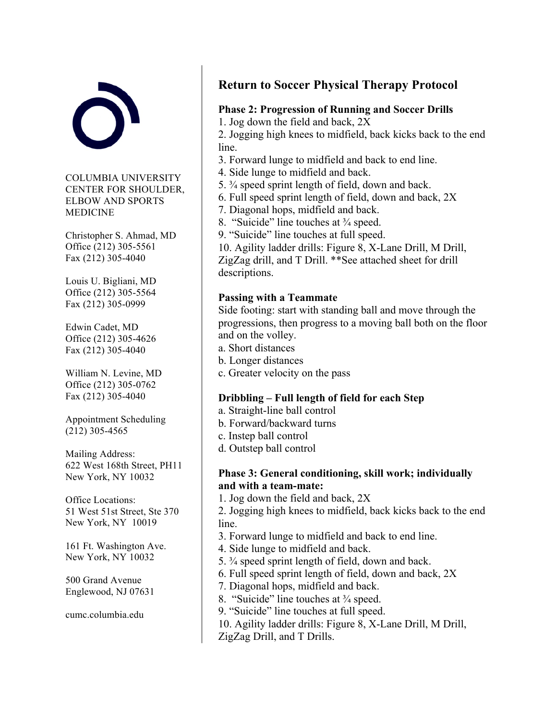

COLUMBIA UNIVERSITY CENTER FOR SHOULDER, ELBOW AND SPORTS MEDICINE

Christopher S. Ahmad, MD Office (212) 305-5561 Fax (212) 305-4040

Louis U. Bigliani, MD Office (212) 305-5564 Fax (212) 305-0999

Edwin Cadet, MD Office (212) 305-4626 Fax (212) 305-4040

William N. Levine, MD Office (212) 305-0762 Fax (212) 305-4040

Appointment Scheduling (212) 305-4565

Mailing Address: 622 West 168th Street, PH11 New York, NY 10032

Office Locations: 51 West 51st Street, Ste 370 New York, NY 10019

161 Ft. Washington Ave. New York, NY 10032

500 Grand Avenue Englewood, NJ 07631

cumc.columbia.edu

## **Return to Soccer Physical Therapy Protocol**

#### **Phase 2: Progression of Running and Soccer Drills**

1. Jog down the field and back, 2X

2. Jogging high knees to midfield, back kicks back to the end line.

- 3. Forward lunge to midfield and back to end line.
- 4. Side lunge to midfield and back.
- 5. ¾ speed sprint length of field, down and back.
- 6. Full speed sprint length of field, down and back, 2X
- 7. Diagonal hops, midfield and back.
- 8. "Suicide" line touches at ¾ speed.
- 9. "Suicide" line touches at full speed.

10. Agility ladder drills: Figure 8, X-Lane Drill, M Drill, ZigZag drill, and T Drill. \*\*See attached sheet for drill descriptions.

#### **Passing with a Teammate**

Side footing: start with standing ball and move through the progressions, then progress to a moving ball both on the floor and on the volley.

- a. Short distances
- b. Longer distances
- c. Greater velocity on the pass

#### **Dribbling – Full length of field for each Step**

- a. Straight-line ball control
- b. Forward/backward turns
- c. Instep ball control
- d. Outstep ball control

#### **Phase 3: General conditioning, skill work; individually and with a team-mate:**

1. Jog down the field and back, 2X

2. Jogging high knees to midfield, back kicks back to the end line.

- 3. Forward lunge to midfield and back to end line.
- 4. Side lunge to midfield and back.
- 5. ¾ speed sprint length of field, down and back.
- 6. Full speed sprint length of field, down and back, 2X
- 7. Diagonal hops, midfield and back.
- 8. "Suicide" line touches at ¾ speed.
- 9. "Suicide" line touches at full speed.
- 10. Agility ladder drills: Figure 8, X-Lane Drill, M Drill,
- ZigZag Drill, and T Drills.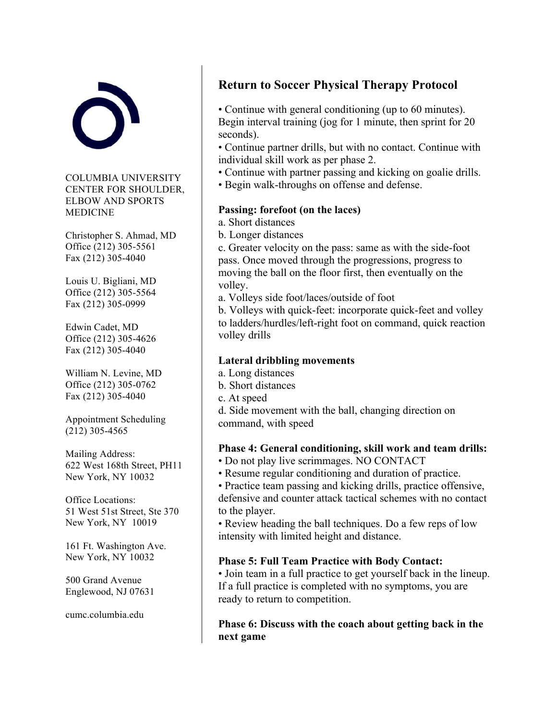

COLUMBIA UNIVERSITY CENTER FOR SHOULDER, ELBOW AND SPORTS **MEDICINE** 

Christopher S. Ahmad, MD Office (212) 305-5561 Fax (212) 305-4040

Louis U. Bigliani, MD Office (212) 305-5564 Fax (212) 305-0999

Edwin Cadet, MD Office (212) 305-4626 Fax (212) 305-4040

William N. Levine, MD Office (212) 305-0762 Fax (212) 305-4040

Appointment Scheduling (212) 305-4565

Mailing Address: 622 West 168th Street, PH11 New York, NY 10032

Office Locations: 51 West 51st Street, Ste 370 New York, NY 10019

161 Ft. Washington Ave. New York, NY 10032

500 Grand Avenue Englewood, NJ 07631

cumc.columbia.edu

## **Return to Soccer Physical Therapy Protocol**

• Continue with general conditioning (up to 60 minutes). Begin interval training (jog for 1 minute, then sprint for 20 seconds).

• Continue partner drills, but with no contact. Continue with individual skill work as per phase 2.

- Continue with partner passing and kicking on goalie drills.
- Begin walk-throughs on offense and defense.

#### **Passing: forefoot (on the laces)**

- a. Short distances
- b. Longer distances

c. Greater velocity on the pass: same as with the side-foot pass. Once moved through the progressions, progress to moving the ball on the floor first, then eventually on the volley.

a. Volleys side foot/laces/outside of foot

b. Volleys with quick-feet: incorporate quick-feet and volley to ladders/hurdles/left-right foot on command, quick reaction volley drills

#### **Lateral dribbling movements**

- a. Long distances
- b. Short distances
- c. At speed

d. Side movement with the ball, changing direction on command, with speed

#### **Phase 4: General conditioning, skill work and team drills:**

- Do not play live scrimmages. NO CONTACT
- Resume regular conditioning and duration of practice.

• Practice team passing and kicking drills, practice offensive, defensive and counter attack tactical schemes with no contact to the player.

• Review heading the ball techniques. Do a few reps of low intensity with limited height and distance.

#### **Phase 5: Full Team Practice with Body Contact:**

• Join team in a full practice to get yourself back in the lineup. If a full practice is completed with no symptoms, you are ready to return to competition.

**Phase 6: Discuss with the coach about getting back in the next game**